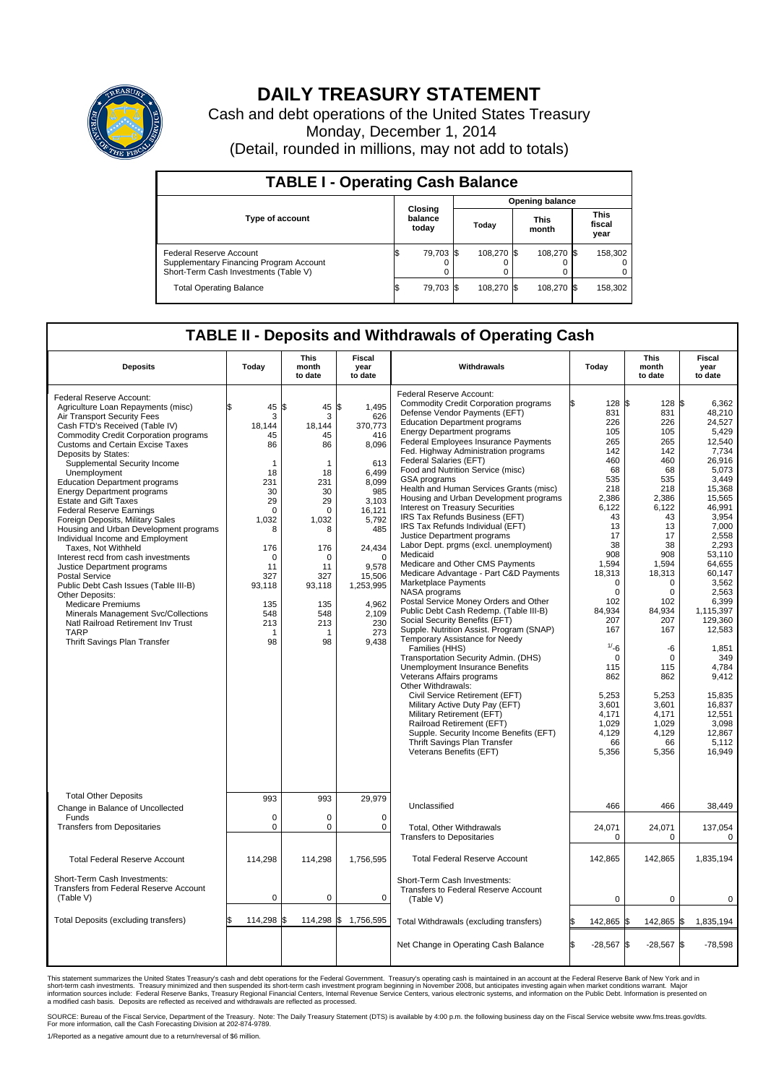

## **DAILY TREASURY STATEMENT**

Cash and debt operations of the United States Treasury Monday, December 1, 2014 (Detail, rounded in millions, may not add to totals)

| <b>TABLE I - Operating Cash Balance</b>                                                                     |                             |           |  |            |  |                      |  |                               |  |
|-------------------------------------------------------------------------------------------------------------|-----------------------------|-----------|--|------------|--|----------------------|--|-------------------------------|--|
| <b>Opening balance</b>                                                                                      |                             |           |  |            |  |                      |  |                               |  |
| <b>Type of account</b>                                                                                      | Closing<br>balance<br>today |           |  | Today      |  | <b>This</b><br>month |  | <b>This</b><br>fiscal<br>year |  |
| Federal Reserve Account<br>Supplementary Financing Program Account<br>Short-Term Cash Investments (Table V) |                             | 79.703 \$ |  | 108.270 \$ |  | 108.270 \$           |  | 158,302                       |  |
| <b>Total Operating Balance</b>                                                                              | ıъ                          | 79,703 \$ |  | 108,270 \$ |  | 108,270 \$           |  | 158,302                       |  |

## **TABLE II - Deposits and Withdrawals of Operating Cash**

| <b>Deposits</b>                                                                                                                                                                                                                                                                                                                                                                                                                                                                                                                                                                                                                                                                                                                                                                                                                                                                                               | Today                                                                                                                                                              | <b>This</b><br>month<br>to date                                                                                                                                        | <b>Fiscal</b><br>year<br>to date                                                                                                                                                                                   | Withdrawals                                                                                                                                                                                                                                                                                                                                                                                                                                                                                                                                                                                                                                                                                                                                                                                                                                                                                                                                                                                                                                                                                                                                                                                                                                                                                                                                                 | Today                                                                                                                                                                                                                                                                                          | <b>This</b><br>month<br>to date                                                                                                                                                                                                                                                   | <b>Fiscal</b><br>year<br>to date                                                                                                                                                                                                                                                                                                                            |
|---------------------------------------------------------------------------------------------------------------------------------------------------------------------------------------------------------------------------------------------------------------------------------------------------------------------------------------------------------------------------------------------------------------------------------------------------------------------------------------------------------------------------------------------------------------------------------------------------------------------------------------------------------------------------------------------------------------------------------------------------------------------------------------------------------------------------------------------------------------------------------------------------------------|--------------------------------------------------------------------------------------------------------------------------------------------------------------------|------------------------------------------------------------------------------------------------------------------------------------------------------------------------|--------------------------------------------------------------------------------------------------------------------------------------------------------------------------------------------------------------------|-------------------------------------------------------------------------------------------------------------------------------------------------------------------------------------------------------------------------------------------------------------------------------------------------------------------------------------------------------------------------------------------------------------------------------------------------------------------------------------------------------------------------------------------------------------------------------------------------------------------------------------------------------------------------------------------------------------------------------------------------------------------------------------------------------------------------------------------------------------------------------------------------------------------------------------------------------------------------------------------------------------------------------------------------------------------------------------------------------------------------------------------------------------------------------------------------------------------------------------------------------------------------------------------------------------------------------------------------------------|------------------------------------------------------------------------------------------------------------------------------------------------------------------------------------------------------------------------------------------------------------------------------------------------|-----------------------------------------------------------------------------------------------------------------------------------------------------------------------------------------------------------------------------------------------------------------------------------|-------------------------------------------------------------------------------------------------------------------------------------------------------------------------------------------------------------------------------------------------------------------------------------------------------------------------------------------------------------|
| Federal Reserve Account:<br>Agriculture Loan Repayments (misc)<br>Air Transport Security Fees<br>Cash FTD's Received (Table IV)<br><b>Commodity Credit Corporation programs</b><br><b>Customs and Certain Excise Taxes</b><br>Deposits by States:<br>Supplemental Security Income<br>Unemployment<br><b>Education Department programs</b><br><b>Energy Department programs</b><br><b>Estate and Gift Taxes</b><br><b>Federal Reserve Earnings</b><br>Foreign Deposits, Military Sales<br>Housing and Urban Development programs<br>Individual Income and Employment<br>Taxes, Not Withheld<br>Interest recd from cash investments<br>Justice Department programs<br><b>Postal Service</b><br>Public Debt Cash Issues (Table III-B)<br>Other Deposits:<br><b>Medicare Premiums</b><br>Minerals Management Svc/Collections<br>Natl Railroad Retirement Inv Trust<br><b>TARP</b><br>Thrift Savings Plan Transfer | 45<br>3<br>18,144<br>45<br>86<br>1<br>18<br>231<br>30<br>29<br>$\Omega$<br>1,032<br>8<br>176<br>$\mathbf 0$<br>11<br>327<br>93,118<br>135<br>548<br>213<br>1<br>98 | l\$<br>45<br>3<br>18,144<br>45<br>86<br>1<br>18<br>231<br>30<br>29<br>$\Omega$<br>1,032<br>8<br>176<br>$\Omega$<br>11<br>327<br>93,118<br>135<br>548<br>213<br>1<br>98 | \$<br>1,495<br>626<br>370,773<br>416<br>8,096<br>613<br>6.499<br>8.099<br>985<br>3,103<br>16.121<br>5,792<br>485<br>24,434<br>$\mathbf 0$<br>9.578<br>15,506<br>1,253,995<br>4,962<br>2,109<br>230<br>273<br>9,438 | Federal Reserve Account:<br><b>Commodity Credit Corporation programs</b><br>Defense Vendor Payments (EFT)<br><b>Education Department programs</b><br><b>Energy Department programs</b><br>Federal Employees Insurance Payments<br>Fed. Highway Administration programs<br>Federal Salaries (EFT)<br>Food and Nutrition Service (misc)<br><b>GSA</b> programs<br>Health and Human Services Grants (misc)<br>Housing and Urban Development programs<br>Interest on Treasury Securities<br>IRS Tax Refunds Business (EFT)<br>IRS Tax Refunds Individual (EFT)<br>Justice Department programs<br>Labor Dept. prgms (excl. unemployment)<br>Medicaid<br>Medicare and Other CMS Payments<br>Medicare Advantage - Part C&D Payments<br>Marketplace Payments<br>NASA programs<br>Postal Service Money Orders and Other<br>Public Debt Cash Redemp. (Table III-B)<br>Social Security Benefits (EFT)<br>Supple. Nutrition Assist. Program (SNAP)<br>Temporary Assistance for Needy<br>Families (HHS)<br>Transportation Security Admin. (DHS)<br>Unemployment Insurance Benefits<br>Veterans Affairs programs<br>Other Withdrawals:<br>Civil Service Retirement (EFT)<br>Military Active Duty Pay (EFT)<br>Military Retirement (EFT)<br>Railroad Retirement (EFT)<br>Supple. Security Income Benefits (EFT)<br>Thrift Savings Plan Transfer<br>Veterans Benefits (EFT) | 128S<br>831<br>226<br>105<br>265<br>142<br>460<br>68<br>535<br>218<br>2,386<br>6,122<br>43<br>13<br>17<br>38<br>908<br>1,594<br>18,313<br>$\Omega$<br>$\Omega$<br>102<br>84.934<br>207<br>167<br>1/26<br>$\mathbf 0$<br>115<br>862<br>5,253<br>3,601<br>4,171<br>1.029<br>4,129<br>66<br>5,356 | 128<br>831<br>226<br>105<br>265<br>142<br>460<br>68<br>535<br>218<br>2,386<br>6,122<br>43<br>13<br>17<br>38<br>908<br>1,594<br>18,313<br>$\Omega$<br>$\Omega$<br>102<br>84.934<br>207<br>167<br>-6<br>0<br>115<br>862<br>5,253<br>3,601<br>4,171<br>1.029<br>4,129<br>66<br>5,356 | l\$<br>6,362<br>48,210<br>24,527<br>5.429<br>12,540<br>7,734<br>26.916<br>5,073<br>3,449<br>15.368<br>15,565<br>46,991<br>3.954<br>7,000<br>2,558<br>2,293<br>53,110<br>64,655<br>60.147<br>3,562<br>2,563<br>6,399<br>1,115,397<br>129,360<br>12,583<br>1,851<br>349<br>4.784<br>9,412<br>15,835<br>16,837<br>12,551<br>3.098<br>12,867<br>5,112<br>16,949 |
| <b>Total Other Deposits</b>                                                                                                                                                                                                                                                                                                                                                                                                                                                                                                                                                                                                                                                                                                                                                                                                                                                                                   | 993                                                                                                                                                                | 993                                                                                                                                                                    | 29,979                                                                                                                                                                                                             | Unclassified                                                                                                                                                                                                                                                                                                                                                                                                                                                                                                                                                                                                                                                                                                                                                                                                                                                                                                                                                                                                                                                                                                                                                                                                                                                                                                                                                | 466                                                                                                                                                                                                                                                                                            | 466                                                                                                                                                                                                                                                                               | 38,449                                                                                                                                                                                                                                                                                                                                                      |
| Change in Balance of Uncollected<br>Funds                                                                                                                                                                                                                                                                                                                                                                                                                                                                                                                                                                                                                                                                                                                                                                                                                                                                     | $\Omega$                                                                                                                                                           | $\Omega$                                                                                                                                                               | $\Omega$                                                                                                                                                                                                           |                                                                                                                                                                                                                                                                                                                                                                                                                                                                                                                                                                                                                                                                                                                                                                                                                                                                                                                                                                                                                                                                                                                                                                                                                                                                                                                                                             |                                                                                                                                                                                                                                                                                                |                                                                                                                                                                                                                                                                                   |                                                                                                                                                                                                                                                                                                                                                             |
| <b>Transfers from Depositaries</b>                                                                                                                                                                                                                                                                                                                                                                                                                                                                                                                                                                                                                                                                                                                                                                                                                                                                            | $\mathbf 0$                                                                                                                                                        | 0                                                                                                                                                                      | 0                                                                                                                                                                                                                  | Total, Other Withdrawals<br><b>Transfers to Depositaries</b>                                                                                                                                                                                                                                                                                                                                                                                                                                                                                                                                                                                                                                                                                                                                                                                                                                                                                                                                                                                                                                                                                                                                                                                                                                                                                                | 24,071<br>$\mathbf 0$                                                                                                                                                                                                                                                                          | 24,071<br>0                                                                                                                                                                                                                                                                       | 137,054<br>$\mathbf 0$                                                                                                                                                                                                                                                                                                                                      |
| <b>Total Federal Reserve Account</b>                                                                                                                                                                                                                                                                                                                                                                                                                                                                                                                                                                                                                                                                                                                                                                                                                                                                          | 114,298                                                                                                                                                            | 114,298                                                                                                                                                                | 1,756,595                                                                                                                                                                                                          | <b>Total Federal Reserve Account</b>                                                                                                                                                                                                                                                                                                                                                                                                                                                                                                                                                                                                                                                                                                                                                                                                                                                                                                                                                                                                                                                                                                                                                                                                                                                                                                                        | 142,865                                                                                                                                                                                                                                                                                        | 142,865                                                                                                                                                                                                                                                                           | 1,835,194                                                                                                                                                                                                                                                                                                                                                   |
| Short-Term Cash Investments:<br>Transfers from Federal Reserve Account<br>(Table V)                                                                                                                                                                                                                                                                                                                                                                                                                                                                                                                                                                                                                                                                                                                                                                                                                           | $\pmb{0}$                                                                                                                                                          | 0                                                                                                                                                                      | 0                                                                                                                                                                                                                  | Short-Term Cash Investments:<br>Transfers to Federal Reserve Account<br>(Table V)                                                                                                                                                                                                                                                                                                                                                                                                                                                                                                                                                                                                                                                                                                                                                                                                                                                                                                                                                                                                                                                                                                                                                                                                                                                                           | $\mathbf 0$                                                                                                                                                                                                                                                                                    | 0                                                                                                                                                                                                                                                                                 | 0                                                                                                                                                                                                                                                                                                                                                           |
| Total Deposits (excluding transfers)                                                                                                                                                                                                                                                                                                                                                                                                                                                                                                                                                                                                                                                                                                                                                                                                                                                                          | 114,298<br>\$                                                                                                                                                      | 1\$                                                                                                                                                                    | 114,298 \$ 1,756,595                                                                                                                                                                                               | Total Withdrawals (excluding transfers)                                                                                                                                                                                                                                                                                                                                                                                                                                                                                                                                                                                                                                                                                                                                                                                                                                                                                                                                                                                                                                                                                                                                                                                                                                                                                                                     | 142,865 \$                                                                                                                                                                                                                                                                                     | 142,865 \$                                                                                                                                                                                                                                                                        | 1,835,194                                                                                                                                                                                                                                                                                                                                                   |
|                                                                                                                                                                                                                                                                                                                                                                                                                                                                                                                                                                                                                                                                                                                                                                                                                                                                                                               |                                                                                                                                                                    |                                                                                                                                                                        |                                                                                                                                                                                                                    | Net Change in Operating Cash Balance                                                                                                                                                                                                                                                                                                                                                                                                                                                                                                                                                                                                                                                                                                                                                                                                                                                                                                                                                                                                                                                                                                                                                                                                                                                                                                                        | Ŝ.<br>$-28,567$ \$                                                                                                                                                                                                                                                                             | $-28,567$ \$                                                                                                                                                                                                                                                                      | $-78,598$                                                                                                                                                                                                                                                                                                                                                   |

This statement summarizes the United States Treasury's cash and debt operations for the Federal Government. Treasury's operating cash is maintained in an account at the Federal Reserve Bank of New York and in<br>short-term ca

SOURCE: Bureau of the Fiscal Service, Department of the Treasury. Note: The Daily Treasury Statement (DTS) is available by 4:00 p.m. the following business day on the Fiscal Service website www.fms.treas.gov/dts.<br>For more

1/Reported as a negative amount due to a return/reversal of \$6 million.